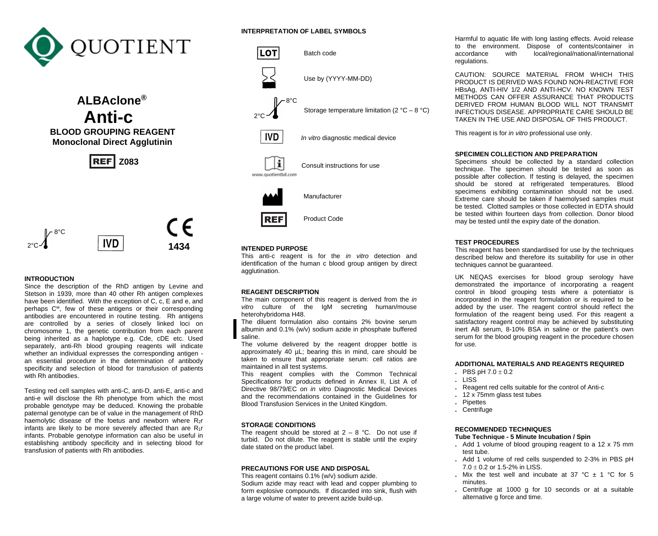

 **ALBAclone® Anti-C**<br>BLOOD GROUPING REAGENT  **Monoclonal Direct Agglutinin**

**REF** Z083



# **INTRODUCTION**

Since the description of the RhD antigen by Levine and Stetson in 1939, more than 40 other Rh antigen complexes have been identified. With the exception of C, c, E and e, and perhaps C<sup>w</sup>, few of these antigens or their corresponding antibodies are encountered in routine testing. Rh antigens are controlled by a series of closely linked loci on chromosome 1, the genetic contribution from each parent being inherited as a haplotype e.g. Cde, cDE etc. Used separately, anti-Rh blood grouping reagents will indicate whether an individual expresses the corresponding antigen an essential procedure in the determination of antibody specificity and selection of blood for transfusion of patients with Rh antibodies.

Testing red cell samples with anti-C, anti-D, anti-E, anti-c and anti-e will disclose the Rh phenotype from which the most probable genotype may be deduced. Knowing the probable paternal genotype can be of value in the management of RhD haemolytic disease of the foetus and newborn where  $R_{2}r$ infants are likely to be more severely affected than are  $R_1r$ infants. Probable genotype information can also be useful in establishing antibody specificity and in selecting blood for transfusion of patients with Rh antibodies.

# **INTERPRETATION OF LABEL SYMBOLS**



#### **INTENDED PURPOSE**

This anti-c reagent is for the *in vitro* detection and identification of the human c blood group antigen by direct agglutination.

### **REAGENT DESCRIPTION**

The main component of this reagent is derived from the *in vitro* culture of the IgM secreting human/mouse heterohybridoma H48.

The diluent formulation also contains 2% bovine serum albumin and 0.1% (w/v) sodium azide in phosphate buffered saline.

The volume delivered by the reagent dropper bottle is approximately 40 µL; bearing this in mind, care should be taken to ensure that appropriate serum: cell ratios are maintained in all test systems.

This reagent complies with the Common Technical Specifications for products defined in Annex II, List A of Directive 98/79/EC on *in vitro* Diagnostic Medical Devices and the recommendations contained in the Guidelines for Blood Transfusion Services in the United Kingdom.

#### **STORAGE CONDITIONS**

The reagent should be stored at  $2 - 8$  °C. Do not use if turbid. Do not dilute. The reagent is stable until the expiry date stated on the product label.

#### **PRECAUTIONS FOR USE AND DISPOSAL**

This reagent contains 0.1% (w/v) sodium azide. Sodium azide may react with lead and copper plumbing to form explosive compounds. If discarded into sink, flush with a large volume of water to prevent azide build-up.

Harmful to aquatic life with long lasting effects. Avoid release to the environment. Dispose of contents/container in accordance with local/regional/national/international local/regional/national/international regulations.

CAUTION: SOURCE MATERIAL FROM WHICH THIS PRODUCT IS DERIVED WAS FOUND NON-REACTIVE FOR HBsAg, ANTI-HIV 1/2 AND ANTI-HCV. NO KNOWN TEST METHODS CAN OFFER ASSURANCE THAT PRODUCTS DERIVED FROM HUMAN BLOOD WILL NOT TRANSMIT INFECTIOUS DISEASE. APPROPRIATE CARE SHOULD BE TAKEN IN THE USE AND DISPOSAL OF THIS PRODUCT.

This reagent is for *in vitro* professional use only.

## **SPECIMEN COLLECTION AND PREPARATION**

Specimens should be collected by a standard collection technique. The specimen should be tested as soon as possible after collection. If testing is delayed, the specimen should be stored at refrigerated temperatures. Blood specimens exhibiting contamination should not be used. Extreme care should be taken if haemolysed samples must be tested. Clotted samples or those collected in EDTA should be tested within fourteen days from collection. Donor blood may be tested until the expiry date of the donation.

# **TEST PROCEDURES**

This reagent has been standardised for use by the techniques described below and therefore its suitability for use in other techniques cannot be guaranteed.

UK NEQAS exercises for blood group serology have demonstrated the importance of incorporating a reagent control in blood grouping tests where a potentiator is incorporated in the reagent formulation or is required to be added by the user. The reagent control should reflect the formulation of the reagent being used. For this reagent a satisfactory reagent control may be achieved by substituting inert AB serum, 8-10% BSA in saline or the patient's own serum for the blood grouping reagent in the procedure chosen for use.

## **ADDITIONAL MATERIALS AND REAGENTS REQUIRED**

- $\cdot$  PBS pH 7.0  $\pm$  0.2
- **.** LISS
- **.** Reagent red cells suitable for the control of Anti-c
- **.** 12 x 75mm glass test tubes
- **.** Pipettes
- **.** Centrifuge

### **RECOMMENDED TECHNIQUES**

# **Tube Technique - 5 Minute Incubation / Spin**

- **.** Add 1 volume of blood grouping reagent to a 12 x 75 mm test tube.
- **.** Add 1 volume of red cells suspended to 2-3% in PBS pH  $7.0 + 0.2$  or 1.5-2% in LISS.
- **.** Mix the test well and incubate at 37 °C ± 1 °C for 5 minutes.
- **.** Centrifuge at 1000 g for 10 seconds or at a suitable alternative g force and time.